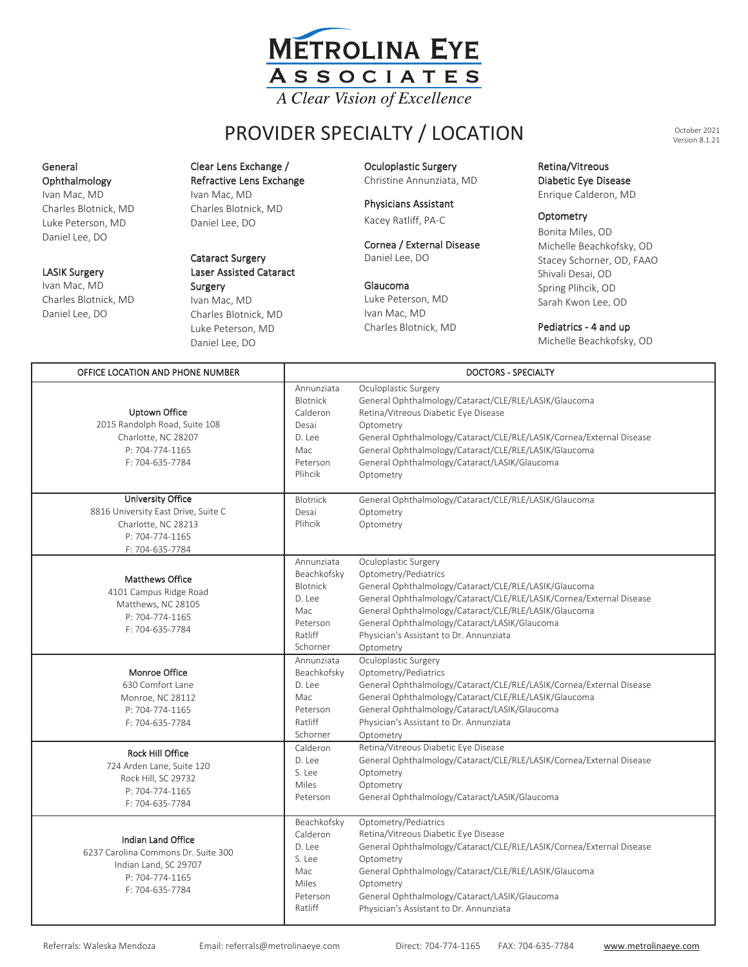

# PROVIDER SPECIALTY / LOCATION Version 8.1.21  $\mathbf{P}$

General General Ophthalmology

i<br>Ivan Mac, MD Charles Blotnick, MD Luke Peterson, MD Luke Peterson, MD Ivan Mac, MD Daniel Lee, DO Peterson, MD<br>.  $\frac{1}{2}$ Luke Peterson, MD

### LASIK Surgery

Charles Blotnick, MD Daniel Lee, DO daniel Lee, Donald Lee, Donald Lee, Donald Lee, Donald Lee, Donald Lee, Donald Lee, Donald Lee, Donald Lee, Do Charles Blotnick, MD daniel Lee, Donald

Ophthalmology **Callophalmology Refractive Lens Exchange Christine Annunziata** Clear Lens Exchange / Clear Lens Exchange / Ophthalmology Oculoplastic Surgery Refractive Lens Exchange Ivan Mac, MD man mas, ma enaries Biotine<br>Daniel Lee, DO Ophthalmology Ophthalmology Ophthalmology Ophthalmology Ophthalmology Ophthalmology Ophthalmology Ophthalmology<br>
Physicians Assistant Ophthalmology Ophthalmology Ophthalmology Ophthalmology Ophthalmology Ophthalmology Opht  $\frac{1}{2}$   $\frac{1}{2}$   $\frac{1}{2}$   $\frac{1}{2}$   $\frac{1}{2}$   $\frac{1}{2}$   $\frac{1}{2}$ 

## LASIK Surgery **Laser Assisted Cataract** Cataract Cataract Surgery **Cataract Surgery** Daniel Lee, DO

 $\frac{1}{2}$ 

Daniel Lee, DO

Surgery Ivan Mac, MD Charles Blotnick, MD Luke Peterson, MD Luke Peterson, MD Charles Blotnick, MD Charles Blotnick, MD Daniel Lee, DO Daniel Lee, DO Daniel Lee, DO Luke Peterson, MD Ivan Mac, MD **Surgery Charles Blotnick, Mac** Surgery Assisted Cataract Cataract Cataract Cataract Cataract Cataract Cataract Cataract Cataract Cataract Cataract Cataract Cataract Cataract Cataract Cataract Cataract Cataract Cataract Cataract Cataract Cataract Catarac LASIK Surgery Daniel Lee, DO Glaucoma Daniel Lee, DO Luke Peterson, MD Daniel Lee, D

Christine Annunziata, MD

Kacey Ratliff, PA-C<br> **Christine Annunziata, Mannunziata, Annunziata, Annunziata, Christine Calderon, Mannunziata, Annunziata, Annun** Kacey Ratliff, PA-C

cornea / External Disease<br>Daniel Lee, DO Kacey Ratliff, PA-C Physicians Assistant Optometry Physicians Assistant Optometry Cornea / External Disease

Luke Peterson, MD Ivan Mac, MD 11 mac, MD Criteries Die Luke Peterson, MD Charles Blotnick, MD

Christine Annunziata, MD Enrique Calderon, MD Christine Annunziata, MD Enrique Calderon, MD Retina/Vitreous Retina/Vitreous Diabetic Eye Disease Diabetic Eye Disease Provider Scheen Scheen Scheen Scheen Scheen Scheen Scheen Scheen Scheen Scheen Scheen Scheen Scheen Scheen Scheen S<br>Provider Scheen Scheen Scheen Scheen Scheen Scheen Scheen Scheen Scheen Scheen Scheen Scheen Scheen Scheen <u>Enrique</u>

Diabetic Eye Disease Diabetic Eye Disease

### Optometry

Bonita Miles, OD Michelle Beachkofsky, OD Stacey Schorner, OD, FAAO Shivali Desai, OD Spring Plihcik, OD Sarah Kwon Lee, OD

### Pediatrics - 4 and up  $\frac{1}{2}$  and up to  $\frac{1}{2}$ Pediatrics - 4 and up

Michelle Beachkofsky, OD Michelle Beachkofsky, OD Michelle Beachkofsky, OD MICHELLE BEACH

| OFFICE LOCATION AND PHONE NUMBER                                                                                             | <b>DOCTORS - SPECIALTY</b>                                                                       |                                                                                                                                                                                                                                                                                                                                                 |
|------------------------------------------------------------------------------------------------------------------------------|--------------------------------------------------------------------------------------------------|-------------------------------------------------------------------------------------------------------------------------------------------------------------------------------------------------------------------------------------------------------------------------------------------------------------------------------------------------|
| Uptown Office<br>2015 Randolph Road, Suite 108<br>Charlotte, NC 28207<br>P: 704-774-1165<br>F: 704-635-7784                  | Annunziata<br><b>Blotnick</b><br>Calderon<br>Desai<br>D. Lee<br>Mac<br>Peterson<br>Plihcik       | Oculoplastic Surgery<br>General Ophthalmology/Cataract/CLE/RLE/LASIK/Glaucoma<br>Retina/Vitreous Diabetic Eye Disease<br>Optometry<br>General Ophthalmology/Cataract/CLE/RLE/LASIK/Cornea/External Disease<br>General Ophthalmology/Cataract/CLE/RLE/LASIK/Glaucoma<br>General Ophthalmology/Cataract/LASIK/Glaucoma<br>Optometry               |
| <b>University Office</b><br>8816 University East Drive, Suite C<br>Charlotte, NC 28213<br>P: 704-774-1165<br>F: 704-635-7784 | Blotnick<br>Desai<br>Plihcik                                                                     | General Ophthalmology/Cataract/CLE/RLE/LASIK/Glaucoma<br>Optometry<br>Optometry                                                                                                                                                                                                                                                                 |
| Matthews Office<br>4101 Campus Ridge Road<br>Matthews, NC 28105<br>P: 704-774-1165<br>F: 704-635-7784                        | Annunziata<br>Beachkofsky<br><b>Blotnick</b><br>D. Lee<br>Mac<br>Peterson<br>Ratliff<br>Schorner | Oculoplastic Surgery<br>Optometry/Pediatrics<br>General Ophthalmology/Cataract/CLE/RLE/LASIK/Glaucoma<br>General Ophthalmology/Cataract/CLE/RLE/LASIK/Cornea/External Disease<br>General Ophthalmology/Cataract/CLE/RLE/LASIK/Glaucoma<br>General Ophthalmology/Cataract/LASIK/Glaucoma<br>Physician's Assistant to Dr. Annunziata<br>Optometry |
| Monroe Office<br>630 Comfort Lane<br>Monroe, NC 28112<br>P: 704-774-1165<br>F: 704-635-7784                                  | Annunziata<br>Beachkofsky<br>D. Lee<br>Mac<br>Peterson<br>Ratliff<br>Schorner                    | Oculoplastic Surgery<br>Optometry/Pediatrics<br>General Ophthalmology/Cataract/CLE/RLE/LASIK/Cornea/External Disease<br>General Ophthalmology/Cataract/CLE/RLE/LASIK/Glaucoma<br>General Ophthalmology/Cataract/LASIK/Glaucoma<br>Physician's Assistant to Dr. Annunziata<br>Optometry                                                          |
| <b>Rock Hill Office</b><br>724 Arden Lane, Suite 120<br>Rock Hill, SC 29732<br>P: 704-774-1165<br>F: 704-635-7784            | Calderon<br>D. Lee<br>S. Lee<br>Miles<br>Peterson                                                | Retina/Vitreous Diabetic Eye Disease<br>General Ophthalmology/Cataract/CLE/RLE/LASIK/Cornea/External Disease<br>Optometry<br>Optometry<br>General Ophthalmology/Cataract/LASIK/Glaucoma                                                                                                                                                         |
| Indian Land Office<br>6237 Carolina Commons Dr. Suite 300<br>Indian Land, SC 29707<br>P: 704-774-1165<br>F: 704-635-7784     | Beachkofsky<br>Calderon<br>D. Lee<br>S. Lee<br>Mac<br>Miles<br>Peterson<br>Ratliff               | Optometry/Pediatrics<br>Retina/Vitreous Diabetic Eye Disease<br>General Ophthalmology/Cataract/CLE/RLE/LASIK/Cornea/External Disease<br>Optometry<br>General Ophthalmology/Cataract/CLE/RLE/LASIK/Glaucoma<br>Optometry<br>General Ophthalmology/Cataract/LASIK/Glaucoma<br>Physician's Assistant to Dr. Annunziata                             |

Mac

Mac

Miles

General Ophthalmology/Cataract/CLE/RLE/LASIK/Glaucoma

General Ophthalmology/Cataract/CLE/RLE/LASIK/Glaucoma

Optometry

October 2021 Version 8.1.21